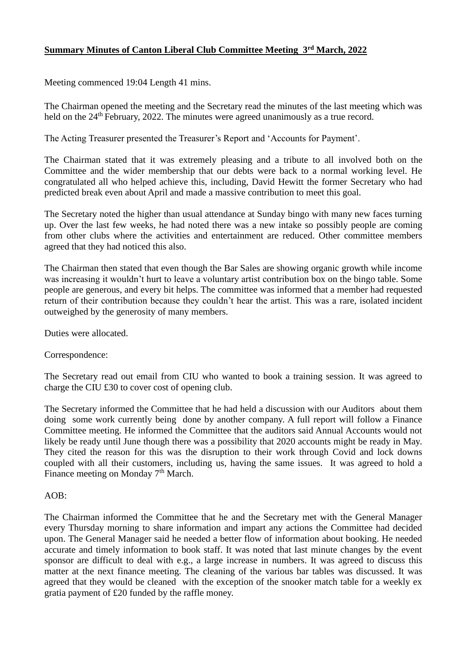## **Summary Minutes of Canton Liberal Club Committee Meeting 3rd March, 2022**

Meeting commenced 19:04 Length 41 mins.

The Chairman opened the meeting and the Secretary read the minutes of the last meeting which was held on the 24<sup>th</sup> February, 2022. The minutes were agreed unanimously as a true record.

The Acting Treasurer presented the Treasurer's Report and 'Accounts for Payment'.

The Chairman stated that it was extremely pleasing and a tribute to all involved both on the Committee and the wider membership that our debts were back to a normal working level. He congratulated all who helped achieve this, including, David Hewitt the former Secretary who had predicted break even about April and made a massive contribution to meet this goal.

The Secretary noted the higher than usual attendance at Sunday bingo with many new faces turning up. Over the last few weeks, he had noted there was a new intake so possibly people are coming from other clubs where the activities and entertainment are reduced. Other committee members agreed that they had noticed this also.

The Chairman then stated that even though the Bar Sales are showing organic growth while income was increasing it wouldn't hurt to leave a voluntary artist contribution box on the bingo table. Some people are generous, and every bit helps. The committee was informed that a member had requested return of their contribution because they couldn't hear the artist. This was a rare, isolated incident outweighed by the generosity of many members.

Duties were allocated.

Correspondence:

The Secretary read out email from CIU who wanted to book a training session. It was agreed to charge the CIU £30 to cover cost of opening club.

The Secretary informed the Committee that he had held a discussion with our Auditors about them doing some work currently being done by another company. A full report will follow a Finance Committee meeting. He informed the Committee that the auditors said Annual Accounts would not likely be ready until June though there was a possibility that 2020 accounts might be ready in May. They cited the reason for this was the disruption to their work through Covid and lock downs coupled with all their customers, including us, having the same issues. It was agreed to hold a Finance meeting on Monday 7<sup>th</sup> March.

## $AOB$ :

The Chairman informed the Committee that he and the Secretary met with the General Manager every Thursday morning to share information and impart any actions the Committee had decided upon. The General Manager said he needed a better flow of information about booking. He needed accurate and timely information to book staff. It was noted that last minute changes by the event sponsor are difficult to deal with e.g., a large increase in numbers. It was agreed to discuss this matter at the next finance meeting. The cleaning of the various bar tables was discussed. It was agreed that they would be cleaned with the exception of the snooker match table for a weekly ex gratia payment of £20 funded by the raffle money.